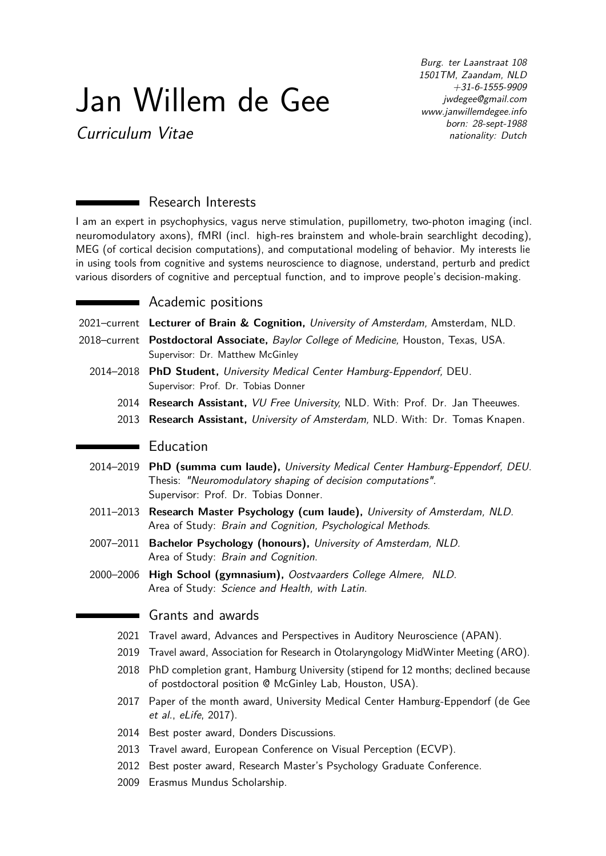# Jan Willem de Gee

Curriculum Vitae

Burg. ter Laanstraat 108 1501TM, Zaandam, NLD +31-6-1555-9909 [jwdegee@gmail.com](mailto:jwdegee@gmail.com) [www.janwillemdegee.info](http://www.janwillemdegee.info) born: 28-sept-1988 nationality: Dutch

# ■ Research Interests

I am an expert in psychophysics, vagus nerve stimulation, pupillometry, two-photon imaging (incl. neuromodulatory axons), fMRI (incl. high-res brainstem and whole-brain searchlight decoding), MEG (of cortical decision computations), and computational modeling of behavior. My interests lie in using tools from cognitive and systems neuroscience to diagnose, understand, perturb and predict various disorders of cognitive and perceptual function, and to improve people's decision-making.

## Academic positions

2021–current **Lecturer of Brain & Cognition,** University of Amsterdam, Amsterdam, NLD. 2018–current **Postdoctoral Associate,** Baylor College of Medicine, Houston, Texas, USA. Supervisor: [Dr. Matthew McGinley](https://www.bcm.edu/people/view/matthew-mcginley-ph-d/be79961e-1ea8-11e6-a974-005056b104be/) 2014–2018 **PhD Student,** University Medical Center Hamburg-Eppendorf, DEU. Supervisor: [Prof. Dr. Tobias Donner](http://www.tobiasdonner.eu/) 2014 **Research Assistant,** VU Free University, NLD. With: [Prof. Dr. Jan Theeuwes.](http://ems.psy.vu.nl/userpages/theeuwes/) 2013 **Research Assistant,** University of Amsterdam, NLD. With: [Dr. Tomas Knapen.](https://tknapen.github.io/) **Education** 2014–2019 **PhD (summa cum laude),** University Medical Center Hamburg-Eppendorf, DEU. Thesis: "Neuromodulatory shaping of decision computations". Supervisor: [Prof. Dr. Tobias Donner.](http://www.tobiasdonner.eu/) 2011–2013 **Research Master Psychology (cum laude),** University of Amsterdam, NLD. Area of Study: Brain and Cognition, Psychological Methods. 2007–2011 **Bachelor Psychology (honours),** University of Amsterdam, NLD. Area of Study: Brain and Cognition. 2000–2006 **High School (gymnasium),** Oostvaarders College Almere, NLD. Area of Study: Science and Health, with Latin. Grants and awards 2021 Travel award, Advances and Perspectives in Auditory Neuroscience (APAN). 2019 Travel award, Association for Research in Otolaryngology MidWinter Meeting (ARO). 2018 PhD completion grant, Hamburg University (stipend for 12 months; declined because of postdoctoral position @ McGinley Lab, Houston, USA).

2017 Paper of the month award, University Medical Center Hamburg-Eppendorf (de Gee et al., eLife, 2017).

- 2014 Best poster award, Donders Discussions.
- 2013 Travel award, European Conference on Visual Perception (ECVP).
- 2012 Best poster award, Research Master's Psychology Graduate Conference.
- 2009 Erasmus Mundus Scholarship.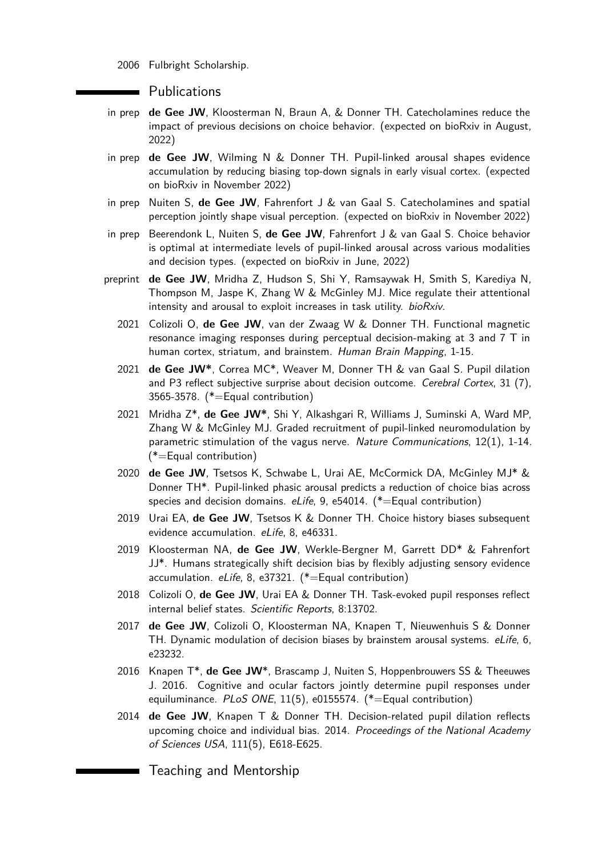2006 Fulbright Scholarship.

#### **Publications**

- in prep **de Gee JW**, Kloosterman N, Braun A, & Donner TH. Catecholamines reduce the impact of previous decisions on choice behavior. (expected on bioRxiv in August, 2022)
- in prep **de Gee JW**, Wilming N & Donner TH. Pupil-linked arousal shapes evidence accumulation by reducing biasing top-down signals in early visual cortex. (expected on bioRxiv in November 2022)
- in prep Nuiten S, **de Gee JW**, Fahrenfort J & van Gaal S. Catecholamines and spatial perception jointly shape visual perception. (expected on bioRxiv in November 2022)
- in prep Beerendonk L, Nuiten S, **de Gee JW**, Fahrenfort J & van Gaal S. Choice behavior is optimal at intermediate levels of pupil-linked arousal across various modalities and decision types. (expected on bioRxiv in June, 2022)
- preprint **de Gee JW**, Mridha Z, Hudson S, Shi Y, Ramsaywak H, Smith S, Karediya N, Thompson M, Jaspe K, Zhang W & McGinley MJ. Mice regulate their attentional intensity and arousal to exploit increases in task utility. bioRxiv.
	- 2021 Colizoli O, **de Gee JW**, van der Zwaag W & Donner TH. Functional magnetic resonance imaging responses during perceptual decision-making at 3 and 7 T in human cortex, striatum, and brainstem. Human Brain Mapping, 1-15.
	- 2021 **de Gee JW\***, Correa MC\*, Weaver M, Donner TH & van Gaal S. Pupil dilation and P3 reflect subjective surprise about decision outcome. Cerebral Cortex, 31 (7), 3565-3578. (\*=Equal contribution)
	- 2021 Mridha Z\*, **de Gee JW\***, Shi Y, Alkashgari R, Williams J, Suminski A, Ward MP, Zhang W & McGinley MJ. Graded recruitment of pupil-linked neuromodulation by parametric stimulation of the vagus nerve. Nature Communications, 12(1), 1-14. (\*=Equal contribution)
	- 2020 **de Gee JW**, Tsetsos K, Schwabe L, Urai AE, McCormick DA, McGinley MJ\* & Donner TH\*. Pupil-linked phasic arousal predicts a reduction of choice bias across species and decision domains.  $e$ *Life*, 9, e54014. (\*=Equal contribution)
	- 2019 Urai EA, **de Gee JW**, Tsetsos K & Donner TH. Choice history biases subsequent evidence accumulation. eLife, 8, e46331.
	- 2019 Kloosterman NA, **de Gee JW**, Werkle-Bergner M, Garrett DD\* & Fahrenfort JJ\*. Humans strategically shift decision bias by flexibly adjusting sensory evidence accumulation.  $e$ Life, 8, e37321. (\*=Equal contribution)
	- 2018 Colizoli O, **de Gee JW**, Urai EA & Donner TH. Task-evoked pupil responses reflect internal belief states. Scientific Reports, 8:13702.
	- 2017 **de Gee JW**, Colizoli O, Kloosterman NA, Knapen T, Nieuwenhuis S & Donner TH. Dynamic modulation of decision biases by brainstem arousal systems. eLife, 6, e23232.
	- 2016 Knapen T\*, **de Gee JW**\*, Brascamp J, Nuiten S, Hoppenbrouwers SS & Theeuwes J. 2016. Cognitive and ocular factors jointly determine pupil responses under equiluminance. PLoS ONE,  $11(5)$ , e0155574. (\*=Equal contribution)
	- 2014 **de Gee JW**, Knapen T & Donner TH. Decision-related pupil dilation reflects upcoming choice and individual bias. 2014. Proceedings of the National Academy of Sciences USA, 111(5), E618-E625.

Teaching and Mentorship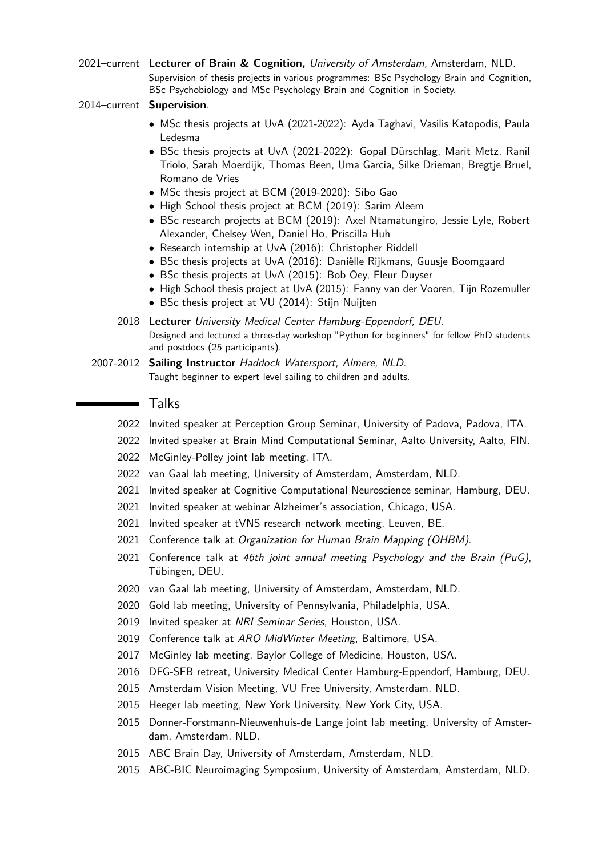2021–current **Lecturer of Brain & Cognition,** University of Amsterdam, Amsterdam, NLD. Supervision of thesis projects in various programmes: BSc Psychology Brain and Cognition, BSc Psychobiology and MSc Psychology Brain and Cognition in Society.

#### 2014–current **Supervision**.

- MSc thesis projects at UvA (2021-2022): Ayda Taghavi, Vasilis Katopodis, Paula Ledesma
- BSc thesis projects at UvA (2021-2022): Gopal Dürschlag, Marit Metz, Ranil Triolo, Sarah Moerdijk, Thomas Been, Uma Garcia, Silke Drieman, Bregtje Bruel, Romano de Vries
- MSc thesis project at BCM (2019-2020): Sibo Gao
- High School thesis project at BCM (2019): Sarim Aleem
- BSc research projects at BCM (2019): Axel Ntamatungiro, Jessie Lyle, Robert Alexander, Chelsey Wen, Daniel Ho, Priscilla Huh
- Research internship at UvA (2016): Christopher Riddell
- BSc thesis projects at UvA (2016): Daniëlle Rijkmans, Guusje Boomgaard
- BSc thesis projects at UvA (2015): Bob Oey, Fleur Duyser
- High School thesis project at UvA (2015): Fanny van der Vooren, Tijn Rozemuller
- BSc thesis project at VU (2014): Stijn Nuijten
- 2018 **Lecturer** University Medical Center Hamburg-Eppendorf, DEU. Designed and lectured a three-day workshop "Python for beginners" for fellow PhD students and postdocs (25 participants).
- 2007-2012 **Sailing Instructor** Haddock Watersport, Almere, NLD. Taught beginner to expert level sailing to children and adults.

# **-** Talks

- 2022 Invited speaker at Perception Group Seminar, University of Padova, Padova, ITA.
- 2022 Invited speaker at Brain Mind Computational Seminar, Aalto University, Aalto, FIN.
- 2022 McGinley-Polley joint lab meeting, ITA.
- 2022 van Gaal lab meeting, University of Amsterdam, Amsterdam, NLD.
- 2021 Invited speaker at Cognitive Computational Neuroscience seminar, Hamburg, DEU.
- 2021 Invited speaker at webinar Alzheimer's association, Chicago, USA.
- 2021 Invited speaker at tVNS research network meeting, Leuven, BE.
- 2021 Conference talk at Organization for Human Brain Mapping (OHBM).
- 2021 Conference talk at 46th joint annual meeting Psychology and the Brain (PuG), Tübingen, DEU.
- 2020 van Gaal lab meeting, University of Amsterdam, Amsterdam, NLD.
- 2020 Gold lab meeting, University of Pennsylvania, Philadelphia, USA.
- 2019 Invited speaker at NRI Seminar Series, Houston, USA.
- 2019 Conference talk at ARO MidWinter Meeting, Baltimore, USA.
- 2017 McGinley lab meeting, Baylor College of Medicine, Houston, USA.
- 2016 DFG-SFB retreat, University Medical Center Hamburg-Eppendorf, Hamburg, DEU.
- 2015 Amsterdam Vision Meeting, VU Free University, Amsterdam, NLD.
- 2015 Heeger lab meeting, New York University, New York City, USA.
- 2015 Donner-Forstmann-Nieuwenhuis-de Lange joint lab meeting, University of Amsterdam, Amsterdam, NLD.
- 2015 ABC Brain Day, University of Amsterdam, Amsterdam, NLD.
- 2015 ABC-BIC Neuroimaging Symposium, University of Amsterdam, Amsterdam, NLD.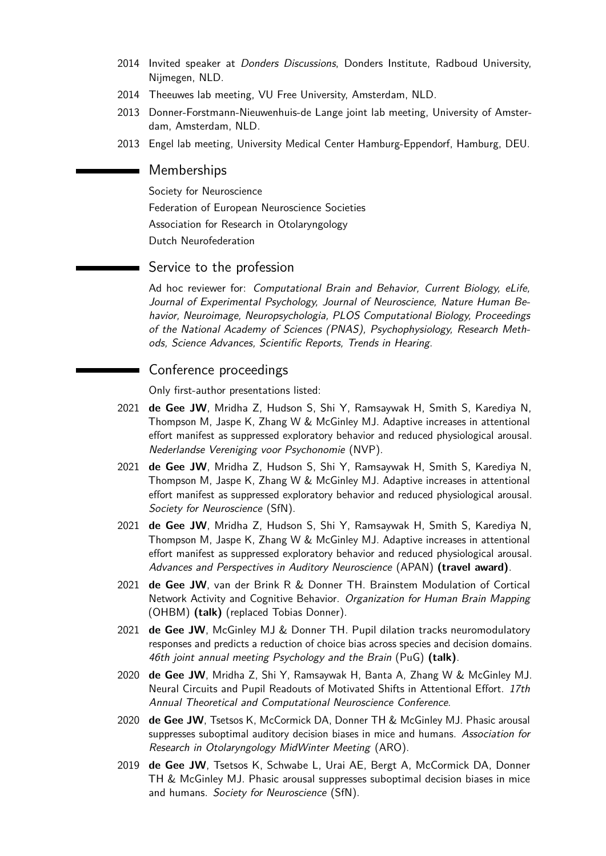- 2014 Invited speaker at *Donders Discussions*, Donders Institute, Radboud University, Nijmegen, NLD.
- 2014 Theeuwes lab meeting, VU Free University, Amsterdam, NLD.
- 2013 Donner-Forstmann-Nieuwenhuis-de Lange joint lab meeting, University of Amsterdam, Amsterdam, NLD.
- 2013 Engel lab meeting, University Medical Center Hamburg-Eppendorf, Hamburg, DEU.

## **Memberships**

Society for Neuroscience Federation of European Neuroscience Societies Association for Research in Otolaryngology Dutch Neurofederation

## Service to the profession

Ad hoc reviewer for: Computational Brain and Behavior, Current Biology, eLife, Journal of Experimental Psychology, Journal of Neuroscience, Nature Human Behavior, Neuroimage, Neuropsychologia, PLOS Computational Biology, Proceedings of the National Academy of Sciences (PNAS), Psychophysiology, Research Methods, Science Advances, Scientific Reports, Trends in Hearing.

# Conference proceedings

Only first-author presentations listed:

- 2021 **de Gee JW**, Mridha Z, Hudson S, Shi Y, Ramsaywak H, Smith S, Karediya N, Thompson M, Jaspe K, Zhang W & McGinley MJ. Adaptive increases in attentional effort manifest as suppressed exploratory behavior and reduced physiological arousal. Nederlandse Vereniging voor Psychonomie (NVP).
- 2021 **de Gee JW**, Mridha Z, Hudson S, Shi Y, Ramsaywak H, Smith S, Karediya N, Thompson M, Jaspe K, Zhang W & McGinley MJ. Adaptive increases in attentional effort manifest as suppressed exploratory behavior and reduced physiological arousal. Society for Neuroscience (SfN).
- 2021 **de Gee JW**, Mridha Z, Hudson S, Shi Y, Ramsaywak H, Smith S, Karediya N, Thompson M, Jaspe K, Zhang W & McGinley MJ. Adaptive increases in attentional effort manifest as suppressed exploratory behavior and reduced physiological arousal. Advances and Perspectives in Auditory Neuroscience (APAN) **(travel award)**.
- 2021 **de Gee JW**, van der Brink R & Donner TH. Brainstem Modulation of Cortical Network Activity and Cognitive Behavior. Organization for Human Brain Mapping (OHBM) **(talk)** (replaced Tobias Donner).
- 2021 **de Gee JW**, McGinley MJ & Donner TH. Pupil dilation tracks neuromodulatory responses and predicts a reduction of choice bias across species and decision domains. 46th joint annual meeting Psychology and the Brain (PuG) **(talk)**.
- 2020 **de Gee JW**, Mridha Z, Shi Y, Ramsaywak H, Banta A, Zhang W & McGinley MJ. Neural Circuits and Pupil Readouts of Motivated Shifts in Attentional Effort. 17th Annual Theoretical and Computational Neuroscience Conference.
- 2020 **de Gee JW**, Tsetsos K, McCormick DA, Donner TH & McGinley MJ. Phasic arousal suppresses suboptimal auditory decision biases in mice and humans. Association for Research in Otolaryngology MidWinter Meeting (ARO).
- 2019 **de Gee JW**, Tsetsos K, Schwabe L, Urai AE, Bergt A, McCormick DA, Donner TH & McGinley MJ. Phasic arousal suppresses suboptimal decision biases in mice and humans. Society for Neuroscience (SfN).